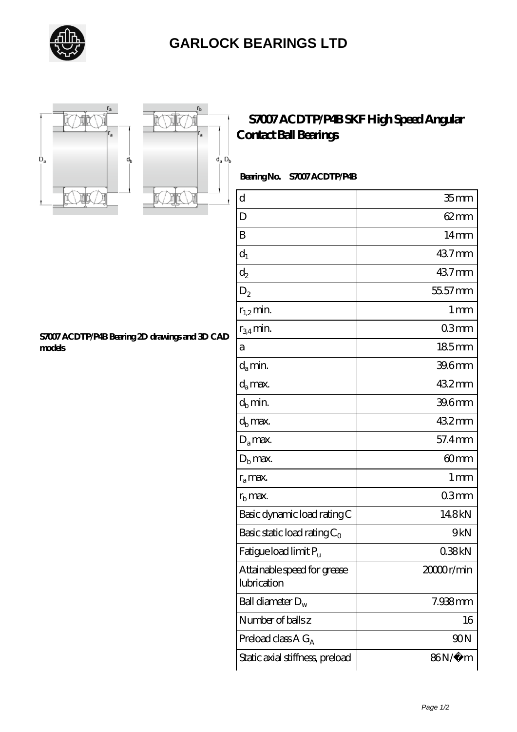



**[models](https://letterstopriests.com/pic-935151.html)**



**[S7007 ACDTP/P4B Bearing 2D drawings and 3D CAD](https://letterstopriests.com/pic-935151.html)**

## **[S7007 ACDTP/P4B SKF High Speed Angular](https://letterstopriests.com/skf-bearing/s7007-acdtp-p4b.html) [Contact Ball Bearings](https://letterstopriests.com/skf-bearing/s7007-acdtp-p4b.html)**

## **Bearing No. S7007 ACDTP/P4B**

| $\mathbf d$                                | 35 <sub>mm</sub> |
|--------------------------------------------|------------------|
| D                                          | 62 mm            |
| B                                          | $14 \text{mm}$   |
| $d_1$                                      | 437mm            |
| $\mathrm{d}_2$                             | 437mm            |
| $D_2$                                      | 55.57 mm         |
| $r_{1,2}$ min.                             | 1 <sub>mm</sub>  |
| $r_{34}$ min.                              | 03mm             |
| а                                          | 185mm            |
| $d_a$ min.                                 | 39.6mm           |
| $d_a$ max.                                 | 432mm            |
| $d_b$ min.                                 | 39.6mm           |
| $d_h$ max.                                 | 432mm            |
| $D_a$ max.                                 | 57.4mm           |
| $D_{b}$ max.                               | 60mm             |
| $r_a$ max.                                 | 1 <sub>mm</sub>  |
| $r_{\rm b}$ max.                           | 03mm             |
| Basic dynamic load rating C                | 148kN            |
| Basic static load rating $C_0$             | 9kN              |
| Fatigue load limit Pu                      | 038kN            |
| Attainable speed for grease<br>lubrication | 2000r/min        |
| Ball diameter $D_w$                        | $7.938$ mm       |
| Number of balls z                          | 16               |
| Preload class $A G_A$                      | 90N              |
| Static axial stiffness, preload            | 86N/µ m          |